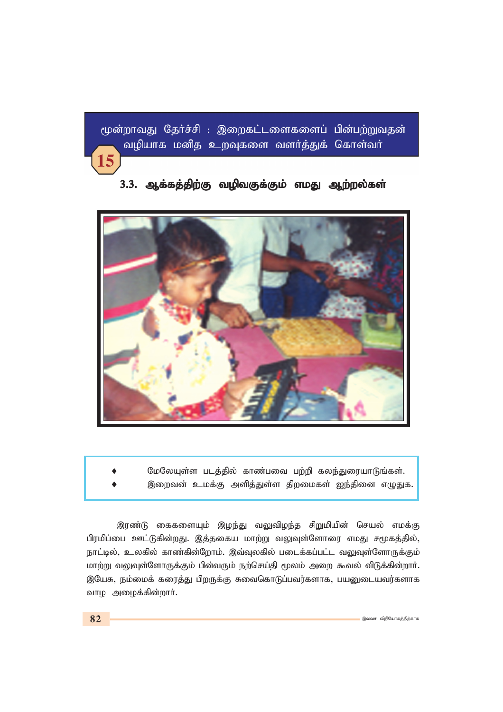மூன்றாவது தேர்ச்சி : இறைகட்டளைகளைப் பின்பற்றுவதன் வழியாக மனித உறவுகளை வளர்த்துக் கொள்வர்





மேலேயுள்ள படத்தில் காண்பவை பற்றி கலந்துரையாடுங்கள். இறைவன் உமக்கு அளித்துள்ள திறமைகள் ஐந்தினை எழுதுக.

இரண்டு கைகளையும் இழந்து வலுவிழந்த சிறுமியின் செயல் எமக்கு பிரமிப்பை ஊட்டுகின்றது. இத்தகைய மாற்று வலுவுள்ளோரை எமது சமூகத்தில், நாட்டில், உலகில் காண்கின்றோம். இவ்வுலகில் படைக்கப்பட்ட வலுவுள்ளோருக்கும் மாற்று வலுவுள்ளோருக்கும் பின்வரும் நற்செய்தி மூலம் அறை கூவல் விடுக்கின்றார். இயேசு, நம்மைக் கரைத்து பிறருக்கு சுவைகொடுப்பவர்களாக, பயனுடையவர்களாக வாழ அழைக்கின்றார்.

15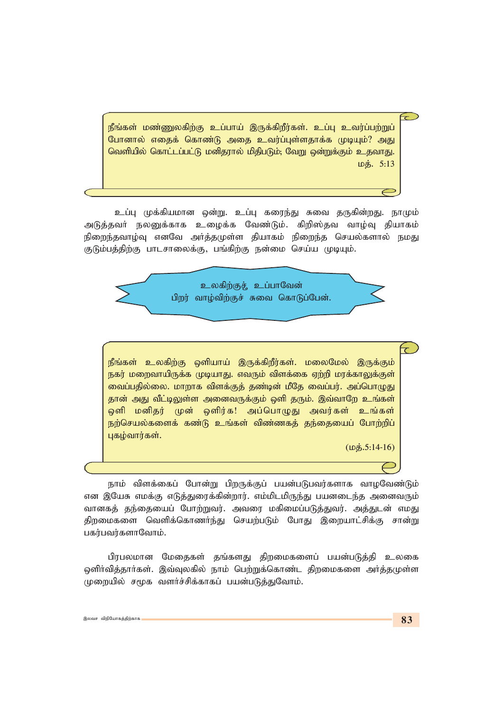நீங்கள் மண்ணுலகிற்கு உப்பாய் இருக்கிறீர்கள். உப்பு உவர்ப்பற்றுப் போனால் எதைக் கொண்டு அதை உவர்ப்புள்ளதாக்க முடியும்? அது வெளியில் கொட்டப்பட்டு மனிதரால் மிதிபடும்; வேறு ஒன்றுக்கும் உதவாது. *kj;. 5:13*

உப்பு முக்கியமான ஒன்று. உப்பு கரைந்து சுவை தருகின்றது. நாமும் அடுத்தவர் நலனுக்காக உழைக்க வேண்டும். கிறிஸ்தவ வாழ்வு தியாகம் நிறைந்தவாழ்வு எனவே அர்த்தமுள்ள தியாகம் நிறைந்த செயல்களால் நமது குடும்பத்திற்கு பாடசாலைக்கு, பங்கிற்கு நன்மை செய்ய முடியும்.



நீங்கள் உலகிற்கு ஒளியாய் இருக்கிறீர்கள். மலைமேல் இருக்கும் நகர் மறைவாயிருக்க முடியாது. எவரும் விளக்கை ஏற்றி மரக்காலுக்குள் வைப்பதில்லை. மாறாக விளக்குத் தண்டின் மீதே வைப்பர். அப்பொ<u>ழுத</u>ு தான் அது வீட்டிலுள்ள அனைவருக்கும் ஒளி தரும். இவ்வாறே உங்கள் ஒளி மனிதர் முன் ஒளிர்க! அப்பொழுது அவர்கள் உங்கள் நற்செயல்களைக் கண்டு உங்கள் விண்ணகத் தந்தையைப் போற்றிப் புகழ்வார்கள்.

*(kj;.5:14-16)*

நாம் விளக்கைப் போன்று பிறருக்குப் பயன்படுபவர்களாக வாழவேண்டும் என இயேசு எமக்கு எடுத்துரைக்கின்றார். எம்மிடமிருந்து பயனடைந்த அனைவரும் வானகத் தந்தையைப் போற்றுவர். அவரை மகிமைப்படுத்துவர். அத்துடன் எமது திறமைகளை வெளிக்கொணர்ந்து செயற்படும் போது இறையாட்சிக்கு சான்று பகர்பவர்களாவோம்.

பிரபலமான மேதைகள் தங்களது திறமைகளைப் பயன்படுத்தி உலகை ஓளிர்வித்தார்கள். இவ்வுலகில் நாம் பெற்றுக்கொண்ட திறமைகளை அர்த்தமுள்ள முறையில் சமூக வளர்ச்சிக்காகப் பயன்படுத்துவோம்.

 $\widehat{\phantom{m}}$ 

 $\overline{\tau}$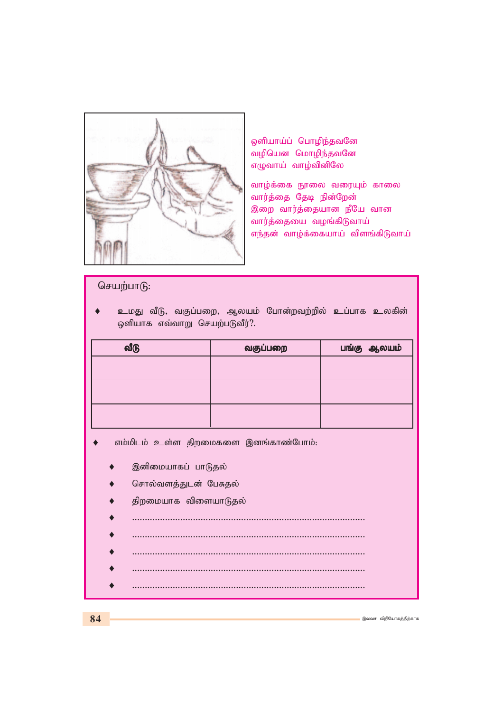

ஒளியாய்ப் பொழிந்தவனே வழியென மொழிந்தவனே எழுவாய் வாழ்வினிலே

வாழ்க்கை நூலை வரையும் காலை வார்த்தை தேடி நின்றேன் இறை வார்த்தையான நீயே வான வார்த்தையை வழங்கிடுவாய் எந்தன் வாழ்க்கையாய் விளங்கிடுவாய்

## செயற்பாடு:

உமது வீடு, வகுப்பறை, ஆலயம் போன்றவற்றில் உப்பாக உலகின் ஒளியாக எவ்வாறு செயற்படுவீர்?.

| வீடு | வகுப்பறை | பங்கு ஆலயம் |
|------|----------|-------------|
|      |          |             |
|      |          |             |
|      |          |             |
|      |          |             |

- எம்மிடம் உள்ள திறமைகளை இனங்காண்போம்:
	- இனிமையாகப் பாடுதல்
	- சொல்வளத்துடன் பேசுதல்
	- திறமையாக விளையாடுதல்
	- ♦ *............................................................................................*
	- ♦ *............................................................................................*
	- ♦ *............................................................................................*
	- ♦ *............................................................................................*
		- ♦ *............................................................................................*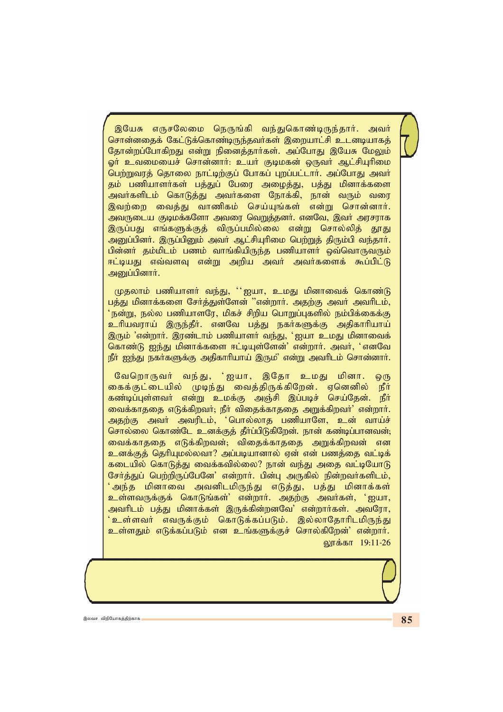இயேசு எருசலேமை நெருங்கி வந்துகொண்டிருந்தார். அவர் சொன்னதைக் கேட்டுக்கொண்டிருந்தவர்கள் இறையாட்சி உடனடியாகத் தோன்றப்போகிறது என்று நினைத்தார்கள். அப்போது இயேசு மேலும் ஓர் உவமையைச் சொன்னார்: உயர் குடிமகன் ஒருவர் ஆட்சியுரிமை பெற்றுவரத் தொலை நாட்டிற்குப் போகப் புறப்பட்டார். அப்போது அவர் தம் பணியாளர்கள் பத்துப் பேரை அழைத்து, பத்து மினாக்களை அவர்களிடம் கொடுத்து அவர்களை நோக்கி, நான் வரும் வரை <u>இவற்றை வைத்து வாணிகம் செய்யுங்கள் என்று சொன்னார்.</u> அவருடைய குடிமக்களோ அவரை வெறுத்தனர். எனவே, இவர் அரசராக இருப்பது எங்களுக்குத் விருப்பமில்லை என்று சொல்லித் தூது அனுப்பினர். இருப்பினும் அவர் ஆட்சியுரிமை பெற்றுத் திரும்பி வந்தார். பின்னர் தம்மிடம் பணம் வாங்கியிருந்த பணியாளர் ஒவ்வொருவரும் ஈட்டியது எவ்வளவு என்று அறிய அவர் அவர்களைக் கூப்பிட்டு அனுப்பினார்.

முதலாம் பணியாளர் வந்து, ''ஐயா, உமது மினாவைக் கொண்டு பத்து மினாக்களை சேர்த்துள்ளேன் "என்றார். அதற்கு அவர் அவரிடம்,  $\lq$ நன்று, நல்ல பணியாளரே, மிகச் சிறிய பொறுப்புகளில் நம்பிக்கைக்கு உரியவராய் இருந்தீர். எனவே பத்து நகர்களுக்கு அதிகாரியாய் இரும் 'என்றார். இரண்டாம் பணியாளர் வந்து, 'ஐயா உமது மினாவைக் கொண்டு ஐந்து மினாக்களை ஈட்டியுள்ளேன்' என்றார். அவர், 'எனவே நீர் ஐந்து நகர்களுக்கு அதிகாரியாய் இரும<sup>்</sup> என்று அவரிடம் சொன்னார்.

வேறொருவர் வந்து, 'ஐயா, இதோ உமது மினா. ஒரு கைக்குட்டையில் முடிந்து வைத்திருக்கிறேன். ஏனெனில் நீர் ்கண்டிப்புள்ளவர் என்று உமக்கு அஞ்சி இப்படிச் செய்தேன். நீர் வைக்காததை எடுக்கிறவர்; நீர் விதைக்காததை அறுக்கிறவர்' என்றார். அதற்கு அவர் அவரிடம், 'பொல்லாத பணியாளே, உன் வாய்ச் சொல்லை கொண்டே உனக்குத் தீர்ப்பிடுகிறேன். நான் கண்டிப்பானவன்; *itf;fhjij vLf;fpwtd;@ tpijf;fhjij mWf;fpwtd; vd* உனக்குத் தெரியுமல்லவா? அப்படியானால் ஏன் என் பணத்தை வட்டிக் கடையில் கொடுத்து வைக்கவில்லை? நான் வந்து அதை வட்டியோடு சேர்த்துப் பெற்றிருப்பேனே' என்றார். பின்பு அருகில் நின்றவர்களிடம், ்அந்த மினாவை அவனிடமிருந்து எடுத்து, பத்து மினாக்கள<mark>்</mark> உள்ளவருக்குக் கொடுங்கள்<sup>;</sup> என்றார். அதற்கு அவர்கள், 'ஐயா, அவரிடம் பத்து மினாக்கள் இருக்கின்றனவே' என்றார்கள். அவரோ, ்உள்ளவர் எவருக்கும் கொடுக்கப்படும். இல்லாதோரிடமிருந்து உள்ளதும் எடுக்கப்படும் என உங்களுக்குச் சொல்கிறேன்' என்றார். லாக்கா 19:11-26

இலவச விநியோகத்திற்காக **மானிய மானிய மானிய மானிய மானிய மானிய மானிய மானிய மானிய மானிய மானிய மானிய மானிய மானிய மானிய**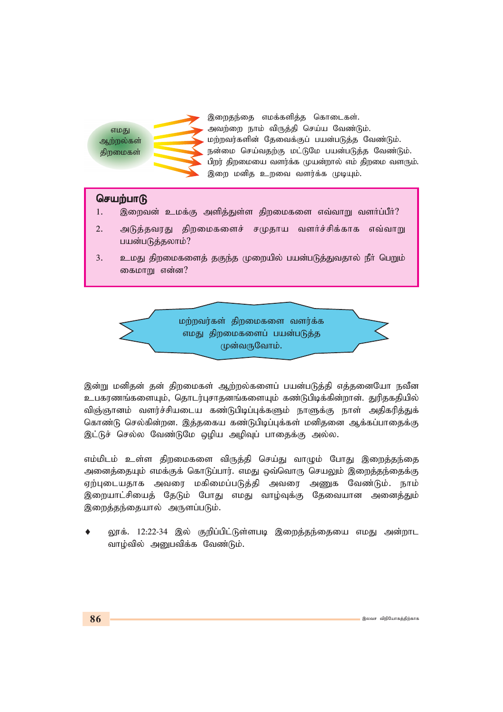எமகு ஆற்றல்கள் கிறமைகள்



இறைதந்தை எமக்களித்த கொடைகள். அவற்றை நாம் விருத்தி செய்ய வேண்டும். *மற்றவர்களின் தேவைக்குப் பயன்படுத்த வேண்டும்.* நன்மை செய்வதற்கு மட்டுமே பயன்படுத்த வேண்டும். பிறர் திறமையை வளர்க்க முயன்றால் எம் திறமை வளரும். இறை மனித உறவை வளர்க்க முடியும்.

## செயற்பா**டு**

- 1. இறைவன் உமக்கு அளித்துள்ள திறமைகளை எவ்வாறு வளர்ப்பீர்?
- 2. அடுத்தவரது திறமைகளைச் சமுதாய வளர்ச்சிக்காக எவ்வாறு பயன்படுத்தலாம்?
- 3. உமது திறமைகளைத் தகுந்த முறையில் பயன்படுத்துவதால் நீர் பெறும் கைமாறு என்ன?



*,d;W kdpjd; jd; jpwikfs; Mw;wy;fisg; gad;gLj;jp vj;jidNah etPd cgfuzq;fisAk;> njhlu;Grhjdq;fisAk; fz;Lgpbf;fpd;whd;. Jupjfjpapy;* விஞ்ஞானம் வளர்ச்சியடைய கண்டுபிடிப்புக்களும் நாளுக்கு நாள் அதிகரித்துக் கொண்டு செல்கின்றன. இத்தகைய கண்டுபிடிப்புக்கள் மனிதனை ஆக்கப்பாதைக்கு இட்டுச் செல்ல வேண்டுமே ஒழிய அழிவுப் பாதைக்கு அல்ல.

எம்மிடம் உள்ள திறமைகளை விருத்தி செய்து வாழும் போது இறைத்தந்தை அனைத்தையும் எமக்குக் கொடுப்பார். எமது ஒவ்வொரு செயலும் இறைத்தந்தைக்கு ஏற்புடையதாக அவரை மகிமைப்படுத்தி அவரை அணுக வேண்டும். நாம் இறையாட்சியைத் தேடும் போது எமது வாழ்வுக்கு தேவையான அனைத்தும் இறைத்தந்தையால் அருளப்படும்.

லூக். 12:22-34 இல் குறிப்பிட்டுள்ளபடி இறைத்தந்தையை எமது அன்றாட வாழ்வில் அனுபவிக்க வேண்டும்.